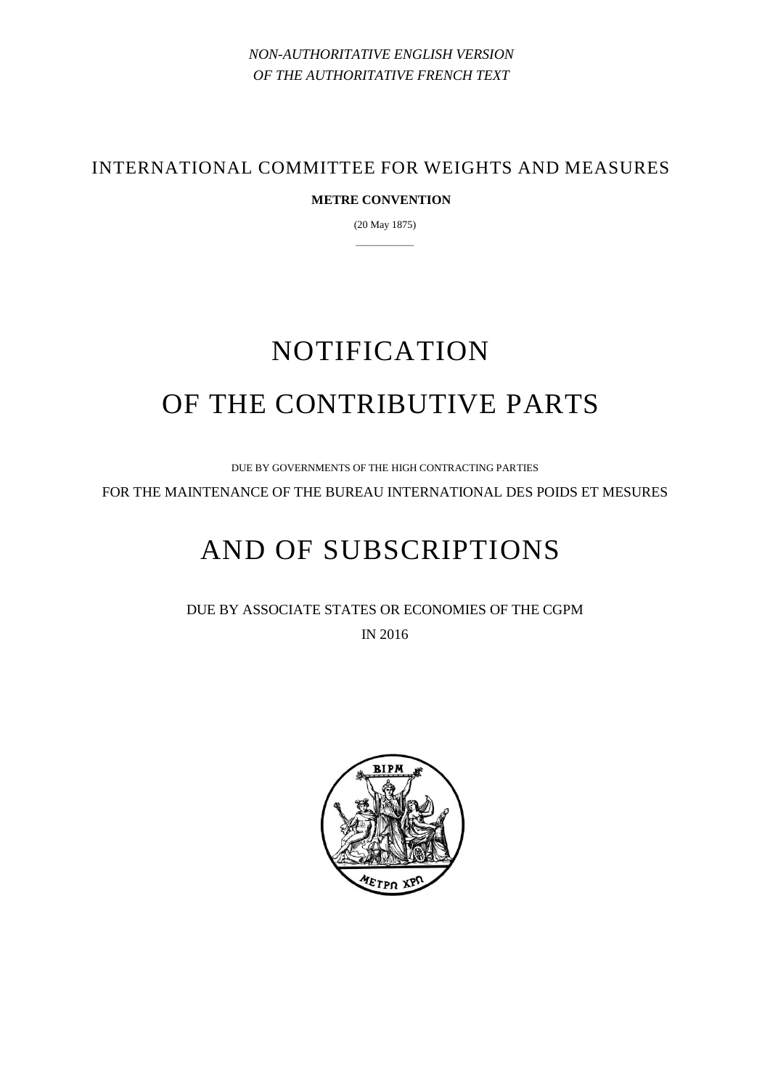*NON-AUTHORITATIVE ENGLISH VERSION OF THE AUTHORITATIVE FRENCH TEXT*

INTERNATIONAL COMMITTEE FOR WEIGHTS AND MEASURES

## **METRE CONVENTION**

(20 May 1875) —————

# NOTIFICATION OF THE CONTRIBUTIVE PARTS

DUE BY GOVERNMENTS OF THE HIGH CONTRACTING PARTIES

FOR THE MAINTENANCE OF THE BUREAU INTERNATIONAL DES POIDS ET MESURES

# AND OF SUBSCRIPTIONS

DUE BY ASSOCIATE STATES OR ECONOMIES OF THE CGPM IN 2016

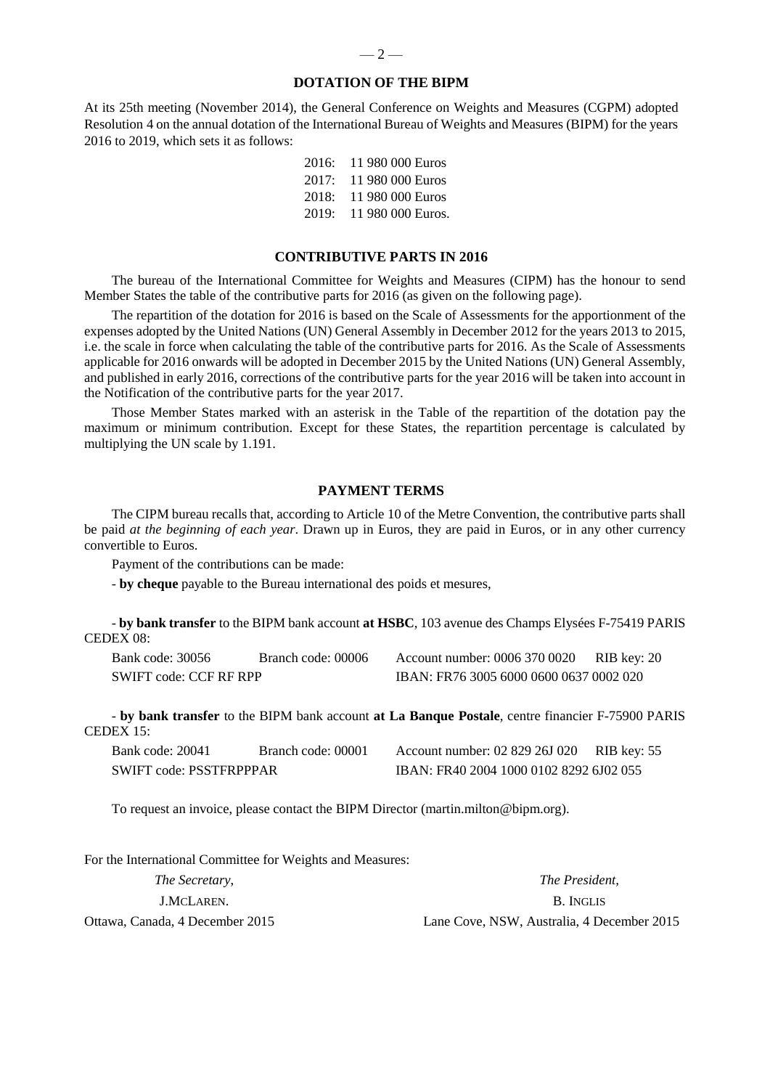#### **DOTATION OF THE BIPM**

At its 25th meeting (November 2014), the General Conference on Weights and Measures (CGPM) adopted Resolution 4 on the annual dotation of the International Bureau of Weights and Measures (BIPM) for the years 2016 to 2019, which sets it as follows:

> 2016: 11 980 000 Euros 2017: 11 980 000 Euros 2018: 11 980 000 Euros 2019: 11 980 000 Euros.

#### **CONTRIBUTIVE PARTS IN 2016**

The bureau of the International Committee for Weights and Measures (CIPM) has the honour to send Member States the table of the contributive parts for 2016 (as given on the following page).

The repartition of the dotation for 2016 is based on the Scale of Assessments for the apportionment of the expenses adopted by the United Nations (UN) General Assembly in December 2012 for the years 2013 to 2015, i.e. the scale in force when calculating the table of the contributive parts for 2016. As the Scale of Assessments applicable for 2016 onwards will be adopted in December 2015 by the United Nations (UN) General Assembly, and published in early 2016, corrections of the contributive parts for the year 2016 will be taken into account in the Notification of the contributive parts for the year 2017.

Those Member States marked with an asterisk in the Table of the repartition of the dotation pay the maximum or minimum contribution. Except for these States, the repartition percentage is calculated by multiplying the UN scale by 1.191.

#### **PAYMENT TERMS**

The CIPM bureau recalls that, according to Article 10 of the Metre Convention, the contributive parts shall be paid *at the beginning of each year*. Drawn up in Euros, they are paid in Euros, or in any other currency convertible to Euros.

Payment of the contributions can be made:

- **by cheque** payable to the Bureau international des poids et mesures,

- **by bank transfer** to the BIPM bank account **at HSBC**, 103 avenue des Champs Elysées F-75419 PARIS CEDEX 08:

SWIFT code: CCF RF RPP IBAN: FR76 3005 6000 0600 0637 0002 020

Bank code: 30056 Branch code: 00006 Account number: 0006 370 0020 RIB key: 20

- **by bank transfer** to the BIPM bank account **at La Banque Postale**, centre financier F-75900 PARIS  $CEDEX$  15:

| Bank code: 20041        | Branch code: 00001 | Account number: 02 829 26J 020          | RIB key: 55 |  |  |
|-------------------------|--------------------|-----------------------------------------|-------------|--|--|
| SWIFT code: PSSTFRPPPAR |                    | IBAN: FR40 2004 1000 0102 8292 6J02 055 |             |  |  |

To request an invoice, please contact the BIPM Director (martin.milton@bipm.org).

For the International Committee for Weights and Measures:

| <i>The Secretary,</i>           | <i>The President.</i>                      |  |  |
|---------------------------------|--------------------------------------------|--|--|
| J.MCLAREN.                      | B. INGLIS                                  |  |  |
| Ottawa, Canada, 4 December 2015 | Lane Cove, NSW, Australia, 4 December 2015 |  |  |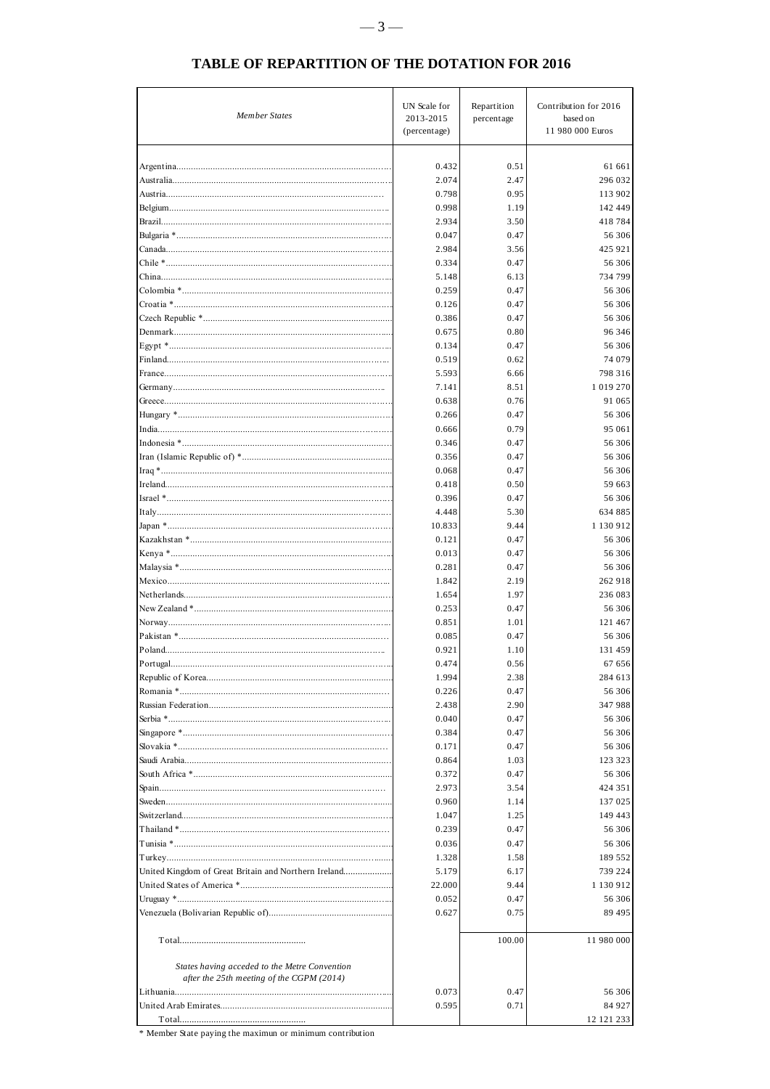| <b>Member States</b>                                                                       | UN Scale for<br>2013-2015<br>(percentage) | Repartition<br>percentage | Contribution for 2016<br>based on<br>11 980 000 Euros |
|--------------------------------------------------------------------------------------------|-------------------------------------------|---------------------------|-------------------------------------------------------|
|                                                                                            |                                           |                           |                                                       |
|                                                                                            | 0.432                                     | 0.51                      | 61 661                                                |
|                                                                                            | 2.074                                     | 2.47                      | 296 032                                               |
|                                                                                            | 0.798                                     | 0.95                      | 113 902                                               |
|                                                                                            | 0.998                                     | 1.19                      | 142 449                                               |
|                                                                                            | 2.934                                     | 3.50                      | 418784                                                |
|                                                                                            | 0.047                                     | 0.47                      | 56 306                                                |
|                                                                                            | 2.984                                     | 3.56                      | 425 921                                               |
|                                                                                            | 0.334                                     | 0.47                      | 56 306                                                |
|                                                                                            | 5.148                                     | 6.13                      | 734 799                                               |
|                                                                                            | 0.259                                     | 0.47                      | 56 306                                                |
|                                                                                            | 0.126                                     | 0.47                      | 56 306                                                |
|                                                                                            | 0.386                                     | 0.47                      | 56 306                                                |
|                                                                                            | 0.675                                     | 0.80                      | 96 346                                                |
|                                                                                            | 0.134<br>0.519                            | 0.47<br>0.62              | 56 306<br>74 079                                      |
|                                                                                            | 5.593                                     | 6.66                      | 798 316                                               |
|                                                                                            | 7.141                                     | 8.51                      | 1 019 270                                             |
|                                                                                            | 0.638                                     | 0.76                      | 91 065                                                |
|                                                                                            | 0.266                                     | 0.47                      | 56 306                                                |
|                                                                                            | 0.666                                     | 0.79                      | 95 061                                                |
|                                                                                            | 0.346                                     | 0.47                      | 56 306                                                |
|                                                                                            | 0.356                                     | 0.47                      | 56 306                                                |
|                                                                                            | 0.068                                     | 0.47                      | 56 306                                                |
|                                                                                            | 0.418                                     | 0.50                      | 59 663                                                |
|                                                                                            | 0.396                                     | 0.47                      | 56 306                                                |
|                                                                                            | 4.448                                     | 5.30                      | 634 885                                               |
|                                                                                            | 10.833                                    | 9.44                      | 1 130 912                                             |
|                                                                                            | 0.121                                     | 0.47                      | 56 306                                                |
|                                                                                            | 0.013                                     | 0.47                      | 56 306                                                |
|                                                                                            | 0.281<br>1.842                            | 0.47<br>2.19              | 56 306<br>262 918                                     |
|                                                                                            | 1.654                                     | 1.97                      | 236 083                                               |
|                                                                                            | 0.253                                     | 0.47                      | 56 306                                                |
|                                                                                            | 0.851                                     | 1.01                      | 121 467                                               |
|                                                                                            | 0.085                                     | 0.47                      | 56 306                                                |
|                                                                                            | 0.921                                     | 1.10                      | 131 459                                               |
| Portugal.                                                                                  | 0.474                                     | 0.56                      | 67 656                                                |
|                                                                                            | 1.994                                     | 2.38                      | 284 613                                               |
|                                                                                            | 0.226                                     | 0.47                      | 56 306                                                |
|                                                                                            | 2.438                                     | 2.90                      | 347 988                                               |
|                                                                                            | 0.040                                     | 0.47                      | 56 306                                                |
|                                                                                            | 0.384                                     | 0.47                      | 56 30 6                                               |
|                                                                                            | 0.171                                     | 0.47                      | 56 306                                                |
|                                                                                            | 0.864                                     | 1.03                      | 123 323                                               |
|                                                                                            | 0.372                                     | 0.47                      | 56 306                                                |
|                                                                                            | 2.973<br>0.960                            | 3.54<br>1.14              | 424 351<br>137 025                                    |
|                                                                                            | 1.047                                     | 1.25                      | 149 443                                               |
|                                                                                            | 0.239                                     | 0.47                      | 56 306                                                |
|                                                                                            | 0.036                                     | 0.47                      | 56 306                                                |
|                                                                                            | 1.328                                     | 1.58                      | 189 552                                               |
| United Kingdom of Great Britain and Northern Ireland                                       | 5.179                                     | 6.17                      | 739 224                                               |
|                                                                                            | 22.000                                    | 9.44                      | 1 130 912                                             |
|                                                                                            | 0.052                                     | 0.47                      | 56 306                                                |
|                                                                                            | 0.627                                     | 0.75                      | 89 495                                                |
|                                                                                            |                                           | 100.00                    | 11 980 000                                            |
|                                                                                            |                                           |                           |                                                       |
| States having acceded to the Metre Convention<br>after the 25th meeting of the CGPM (2014) |                                           |                           |                                                       |
|                                                                                            | 0.073                                     | 0.47                      | 56 306                                                |
|                                                                                            | 0.595                                     | 0.71                      | 84 927                                                |
|                                                                                            |                                           |                           | 12 121 233                                            |

### TABLE OF REPARTITION OF THE DOTATION FOR 2016

 $\hspace{0.1mm}^*$  Member State paying the maximun or minimum contribution